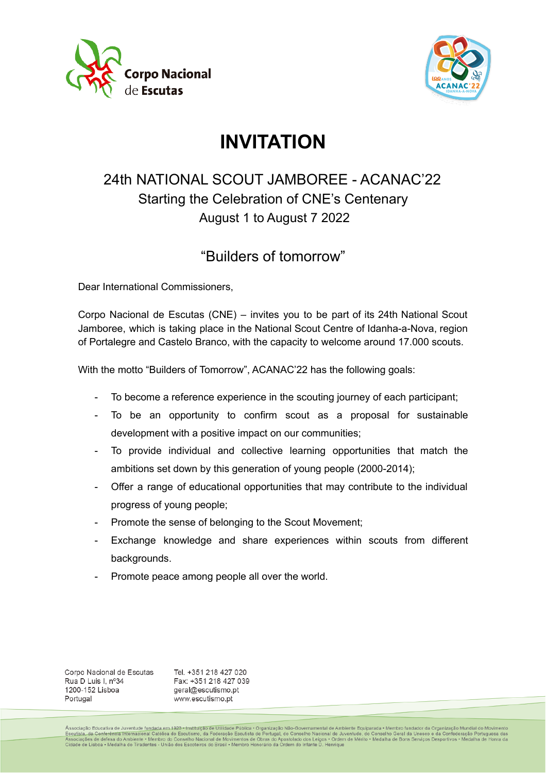



# **INVITATION**

## 24th NATIONAL SCOUT JAMBOREE - ACANAC'22 Starting the Celebration of CNE's Centenary August 1 to August 7 2022

### "Builders of tomorrow"

Dear International Commissioners,

Corpo Nacional de Escutas (CNE) – invites you to be part of its 24th National Scout Jamboree, which is taking place in the National Scout Centre of Idanha-a-Nova, region of Portalegre and Castelo Branco, with the capacity to welcome around 17.000 scouts.

With the motto "Builders of Tomorrow", ACANAC'22 has the following goals:

- To become a reference experience in the scouting journey of each participant;
- To be an opportunity to confirm scout as a proposal for sustainable development with a positive impact on our communities;
- To provide individual and collective learning opportunities that match the ambitions set down by this generation of young people (2000-2014);
- Offer a range of educational opportunities that may contribute to the individual progress of young people;
- Promote the sense of belonging to the Scout Movement;
- Exchange knowledge and share experiences within scouts from different backgrounds.
- Promote peace among people all over the world.

Corpo Nacional de Escutas Rua D Luis I, nº34 1200-152 Lisboa Portugal

Tel. +351 218 427 020 Fax: +351 218 427 039 geral@escutismo.pt www.escutismo.pt

Associação Educativa de Juventude fu<u>ndada em 1923 - Instituição de Utilidade Pública</u> - Organização Não-Governamental de Ambiente Equiparada • Membro fundador da Organização Mundial do Movimento<br><u>Escutista, da Conferência</u>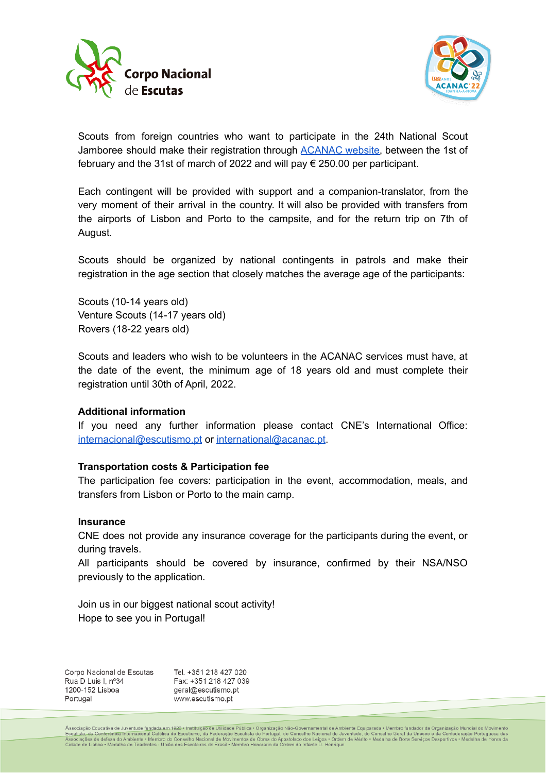



Scouts from foreign countries who want to participate in the 24th National Scout Jamboree should make their registration through [ACANAC](https://acanac.escutismo.pt/international/) website, between the 1st of february and the 31st of march of 2022 and will pay € 250.00 per participant.

Each contingent will be provided with support and a companion-translator, from the very moment of their arrival in the country. It will also be provided with transfers from the airports of Lisbon and Porto to the campsite, and for the return trip on 7th of August.

Scouts should be organized by national contingents in patrols and make their registration in the age section that closely matches the average age of the participants:

Scouts (10-14 years old) Venture Scouts (14-17 years old) Rovers (18-22 years old)

Scouts and leaders who wish to be volunteers in the ACANAC services must have, at the date of the event, the minimum age of 18 years old and must complete their registration until 30th of April, 2022.

#### **Additional information**

If you need any further information please contact CNE's International Office: [internacional@escutismo.pt](mailto:internacional@escutismo.pt) or [international@acanac.pt.](mailto:international@acanac.pt)

#### **Transportation costs & Participation fee**

The participation fee covers: participation in the event, accommodation, meals, and transfers from Lisbon or Porto to the main camp.

#### **Insurance**

CNE does not provide any insurance coverage for the participants during the event, or during travels.

All participants should be covered by insurance, confirmed by their NSA/NSO previously to the application.

Join us in our biggest national scout activity! Hope to see you in Portugal!

Corpo Nacional de Escutas Rua D Luis I. nº34 1200-152 Lisboa Portugal

Tel. +351 218 427 020 Fax: +351 218 427 039 geral@escutismo.pt www.escutismo.pt

Associação Educativa de Juventude fu<u>ndada em 192</u>3 + Instituição de Utilidade Pública • Organização Não-Governamental de Ambiente Equiparada • Membro fundador da Organização Mundial do Movimen<br>Escutista, da Conferência I